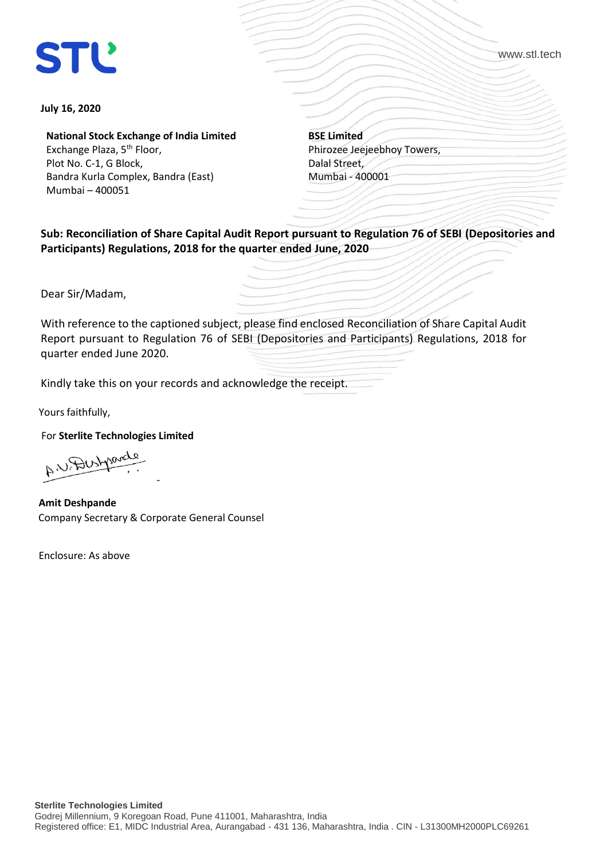## **STL**

www.stl.tech

## **July 16, 2020**

**National Stock Exchange of India Limited**

Exchange Plaza, 5<sup>th</sup> Floor, Plot No. C-1, G Block, Bandra Kurla Complex, Bandra (East) Mumbai – 400051

**BSE Limited** Phirozee Jeejeebhoy Towers, Dalal Street, Mumbai - 400001

**Sub: Reconciliation of Share Capital Audit Report pursuant to Regulation 76 of SEBI (Depositories and Participants) Regulations, 2018 for the quarter ended June, 2020** 

Dear Sir/Madam,

With reference to the captioned subject, please find enclosed Reconciliation of Share Capital Audit Report pursuant to Regulation 76 of SEBI (Depositories and Participants) Regulations, 2018 for quarter ended June 2020.

Kindly take this on your records and acknowledge the receipt.

Yours faithfully,

For **Sterlite Technologies Limited**

-  $A^{\prime\prime}$ ---

 **Amit Deshpande**  Company Secretary & Corporate General Counsel

Enclosure: As above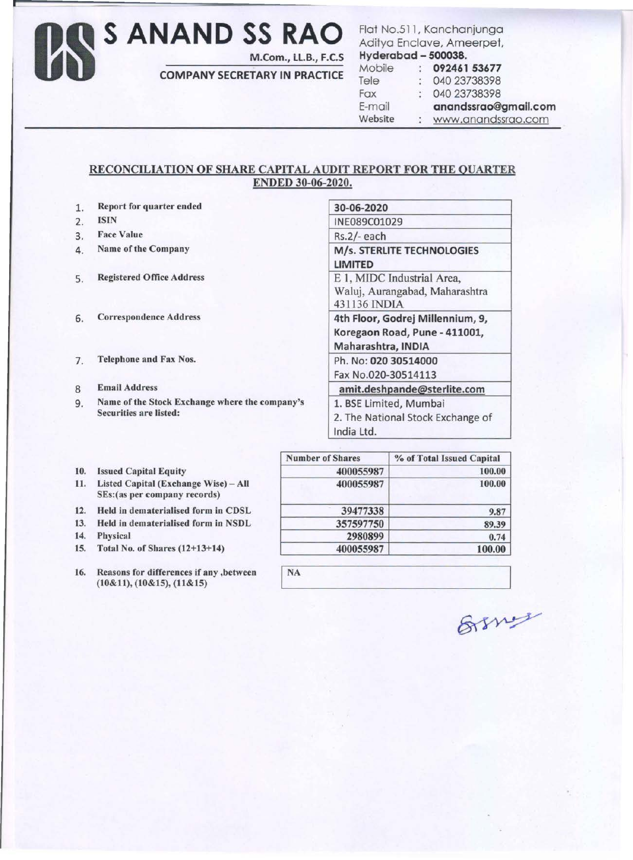## Os **S ANAND SS RAO**

M.Com., LL.B., F.C.S

COMPANY SECRETARY IN PRACTICE

Flat No.511, Kanchanjunga Aditya Enclave, Ameerpet,

| Hyderabad - 500038. |                      |                      |
|---------------------|----------------------|----------------------|
| Mobile              | $\mathcal{L}$        | 092461 53677         |
| Tele                | $\ddot{\phantom{a}}$ | 040 23738398         |
| Fax                 | $\mathcal{C}$        | 040 23738398         |
| E-mail              |                      | anandssrao@gmail.com |
| Website             | $\sim$               | www.anandssrao.com   |

## RECONCILIATION OF SHARE CAPITAL AUDIT REPORT FOR THE QUARTER ENDED 30-06-2020.

- 1. Report for quarter ended
- 2. ISIN
- 3. Face Value
- 4. Name of the Company
- 5. Registered Office Address
- 6. Correspondence Address
- 7. Telephone and Fax Nos.
- 8 Email Address
- 9. Name of the Stock Exchange where the company's Securities are listed:

| 30-06-2020                       |  |
|----------------------------------|--|
| INE089C01029                     |  |
| Rs.2/-each                       |  |
| M/s. STERLITE TECHNOLOGIES       |  |
| <b>LIMITED</b>                   |  |
| E 1, MIDC Industrial Area,       |  |
| Waluj, Aurangabad, Maharashtra   |  |
| 431136 INDIA                     |  |
| 4th Floor, Godrej Millennium, 9, |  |
| Koregaon Road, Pune - 411001,    |  |
| Maharashtra, INDIA               |  |
| Ph. No: 020 30514000             |  |
| Fax No.020-30514113              |  |
|                                  |  |
| amit.deshpande@sterlite.com      |  |
| 1. BSE Limited, Mumbai           |  |

India Ltd.

- 10. Issued Capital Equity
- 11. Listed Capital (Exchange Wise) All SEs:(as per company records)
- 12. Held in dematerialised form in CDSL
- 13. Held in dematerialised form in NSDL<br>14. Physical
- 
- 15. Total No. of Shares  $(12+13+14)$
- 

|     |                                                                       | <b>Number of Shares</b> | % of Total Issued Capital |
|-----|-----------------------------------------------------------------------|-------------------------|---------------------------|
| 10. | <b>Issued Capital Equity</b>                                          | 400055987               | 100.00                    |
| 11. | Listed Capital (Exchange Wise) - All<br>SEs: (as per company records) | 400055987               | 100.00                    |
| 12. | Held in dematerialised form in CDSL                                   | 39477338                | 9.87                      |
| 13. | Held in dematerialised form in NSDL                                   | 357597750               | 89.39                     |
| 14. | <b>Physical</b>                                                       | 2980899                 | 0.74                      |
|     | 15. Total No. of Shares (12+13+14)                                    | 400055987               | 100.00                    |

| 16. | Reasons for differences if any , between | <b>NA</b> |
|-----|------------------------------------------|-----------|
|     | $(10\&11), (10\&15), (11\&15)$           |           |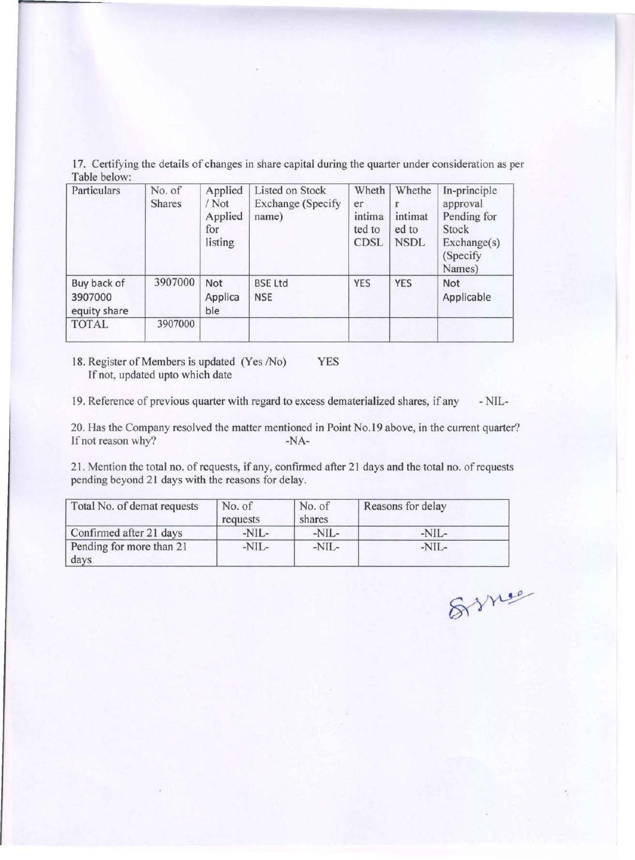17. Certifying the details of changes in share capital during the quarter under consideration as per Table below:

| Particulars                            | No. of<br><b>Shares</b> | Applied<br>/ Not<br>Applied<br>for<br>listing | Listed on Stock<br><b>Exchange</b> (Specify<br>name) | Wheth<br>er<br>intima<br>ted to<br><b>CDSL</b> | Whethe<br>intimat<br>ed to<br><b>NSDL</b> | In-principle<br>approval<br>Pending for<br>Stock<br>Exchange(s)<br>(Specify)<br>Names) |
|----------------------------------------|-------------------------|-----------------------------------------------|------------------------------------------------------|------------------------------------------------|-------------------------------------------|----------------------------------------------------------------------------------------|
| Buy back of<br>3907000<br>equity share | 3907000                 | Not<br>Applica<br>ble                         | <b>BSE Ltd</b><br><b>NSE</b>                         | <b>YES</b>                                     | <b>YES</b>                                | Not<br>Applicable                                                                      |
| <b>TOTAL</b>                           | 3907000                 |                                               |                                                      |                                                |                                           |                                                                                        |
|                                        |                         |                                               |                                                      |                                                |                                           |                                                                                        |

18. Register of Members is updated (Yes /No) YES If not, updated upto which date

19. Reference of previous quarter with regard to excess dematerialized shares, if any -NIL-

20. Has the Company resolved the matter mentioned in Point No.19 above, in the current quarter?<br>If not reason why?<br> $-NA-$ If not reason why?

21. Mention the total no. of requests, if any, confirmed after 21 days and the total no. of requests pending beyond 21 days with the reasons for delay.

| Total No. of demat requests      | No. of<br>requests | No. of<br>shares | Reasons for delay |
|----------------------------------|--------------------|------------------|-------------------|
| Confirmed after 21 days          | $-NIL-$            | $-NIL-$          | $-NIL-$           |
| Pending for more than 21<br>days | -NIL-              | $-NIL-$          | $-NIL-$           |

8 me